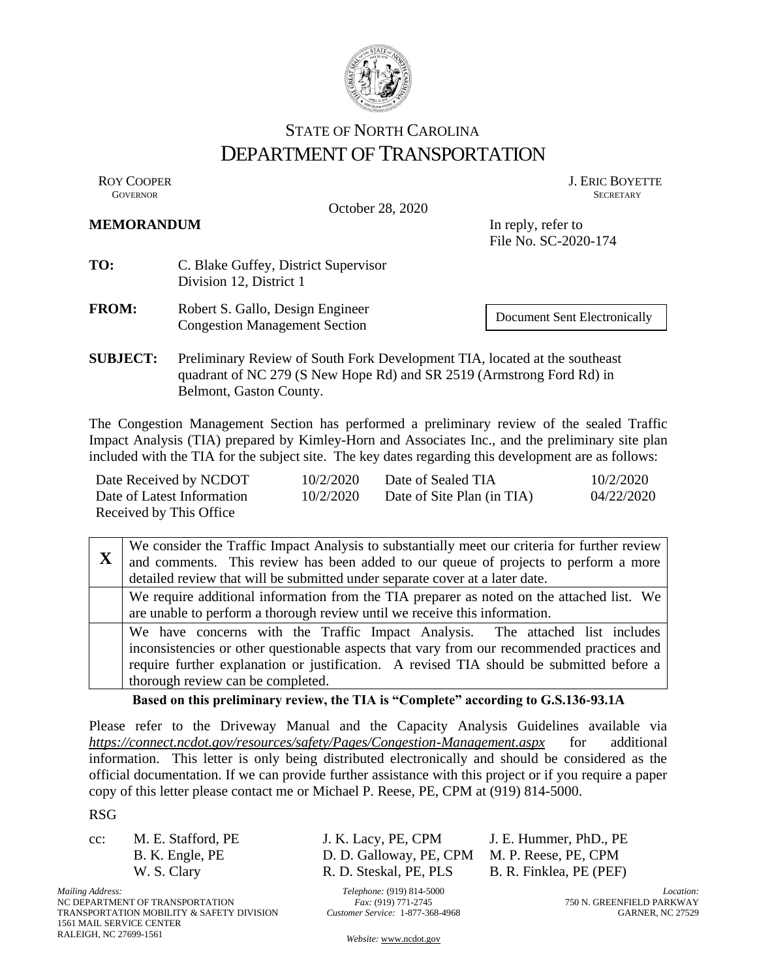

# STATE OF NORTH CAROLINA DEPARTMENT OF TRANSPORTATION

October 28, 2020

ROY COOPER J. ERIC BOYETTE SOVERNOR **GOVERNOR SECRETARY** SECRETARY

#### **MEMORANDUM** In reply, refer to

File No. SC-2020-174

- **TO:** C. Blake Guffey, District Supervisor Division 12, District 1
- **FROM:** Robert S. Gallo, Design Engineer Congestion Management Section

Document Sent Electronically

**SUBJECT:** Preliminary Review of South Fork Development TIA, located at the southeast quadrant of NC 279 (S New Hope Rd) and SR 2519 (Armstrong Ford Rd) in Belmont, Gaston County.

The Congestion Management Section has performed a preliminary review of the sealed Traffic Impact Analysis (TIA) prepared by Kimley-Horn and Associates Inc., and the preliminary site plan included with the TIA for the subject site. The key dates regarding this development are as follows:

| Date Received by NCDOT     | 10/2/2020 | Date of Sealed TIA         | 10/2/2020  |
|----------------------------|-----------|----------------------------|------------|
| Date of Latest Information | 10/2/2020 | Date of Site Plan (in TIA) | 04/22/2020 |
| Received by This Office    |           |                            |            |

**X** We consider the Traffic Impact Analysis to substantially meet our criteria for further review and comments. This review has been added to our queue of projects to perform a more detailed review that will be submitted under separate cover at a later date. We require additional information from the TIA preparer as noted on the attached list. We are unable to perform a thorough review until we receive this information. We have concerns with the Traffic Impact Analysis. The attached list includes inconsistencies or other questionable aspects that vary from our recommended practices and require further explanation or justification. A revised TIA should be submitted before a thorough review can be completed.

## **Based on this preliminary review, the TIA is "Complete" according to G.S.136-93.1A**

Please refer to the Driveway Manual and the Capacity Analysis Guidelines available via *https://connect.ncdot.gov/resources/safety/Pages/Congestion-Management.aspx* for additional information. This letter is only being distributed electronically and should be considered as the official documentation. If we can provide further assistance with this project or if you require a paper copy of this letter please contact me or Michael P. Reese, PE, CPM at (919) 814-5000.

RSG

cc: M. E. Stafford, PE J. K. Lacy, PE, CPM J. E. Hummer, PhD., PE

*Mailing Address:* NC DEPARTMENT OF TRANSPORTATION TRANSPORTATION MOBILITY & SAFETY DIVISION 1561 MAIL SERVICE CENTER RALEIGH, NC 27699-1561

B. K. Engle, PE D. D. Galloway, PE, CPM M. P. Reese, PE, CPM W. S. Clary R. D. Steskal, PE, PLS B. R. Finklea, PE (PEF)

> *Telephone:* (919) 814-5000 *Fax:* (919) 771-2745 *Customer Service:* 1-877-368-4968

*Location:* 750 N. GREENFIELD PARKWAY GARNER, NC 27529

*Website:* [www.ncdot.gov](http://www.ncdot.gov/)